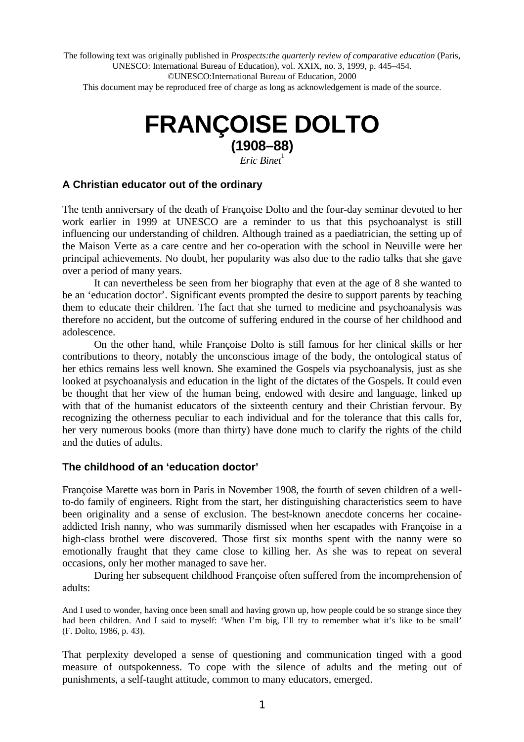The following text was originally published in *Prospects:the quarterly review of comparative education* (Paris, UNESCO: International Bureau of Education), vol. XXIX, no. 3, 1999, p. 445–454.

©UNESCO:International Bureau of Education, 2000

This document may be reproduced free of charge as long as acknowledgement is made of the source.

# **FRANÇOISE DOLTO (1908–88)** *Eric Binet*

# **A Christian educator out of the ordinary**

The tenth anniversary of the death of Françoise Dolto and the four-day seminar devoted to her work earlier in 1999 at UNESCO are a reminder to us that this psychoanalyst is still influencing our understanding of children. Although trained as a paediatrician, the setting up of the Maison Verte as a care centre and her co-operation with the school in Neuville were her principal achievements. No doubt, her popularity was also due to the radio talks that she gave over a period of many years.

It can nevertheless be seen from her biography that even at the age of 8 she wanted to be an 'education doctor'. Significant events prompted the desire to support parents by teaching them to educate their children. The fact that she turned to medicine and psychoanalysis was therefore no accident, but the outcome of suffering endured in the course of her childhood and adolescence.

On the other hand, while Françoise Dolto is still famous for her clinical skills or her contributions to theory, notably the unconscious image of the body, the ontological status of her ethics remains less well known. She examined the Gospels via psychoanalysis, just as she looked at psychoanalysis and education in the light of the dictates of the Gospels. It could even be thought that her view of the human being, endowed with desire and language, linked up with that of the humanist educators of the sixteenth century and their Christian fervour. By recognizing the otherness peculiar to each individual and for the tolerance that this calls for, her very numerous books (more than thirty) have done much to clarify the rights of the child and the duties of adults.

# **The childhood of an 'education doctor'**

Françoise Marette was born in Paris in November 1908, the fourth of seven children of a wellto-do family of engineers. Right from the start, her distinguishing characteristics seem to have been originality and a sense of exclusion. The best-known anecdote concerns her cocaineaddicted Irish nanny, who was summarily dismissed when her escapades with Françoise in a high-class brothel were discovered. Those first six months spent with the nanny were so emotionally fraught that they came close to killing her. As she was to repeat on several occasions, only her mother managed to save her.

During her subsequent childhood Françoise often suffered from the incomprehension of adults:

And I used to wonder, having once been small and having grown up, how people could be so strange since they had been children. And I said to myself: 'When I'm big, I'll try to remember what it's like to be small' (F. Dolto, 1986, p. 43).

That perplexity developed a sense of questioning and communication tinged with a good measure of outspokenness. To cope with the silence of adults and the meting out of punishments, a self-taught attitude, common to many educators, emerged.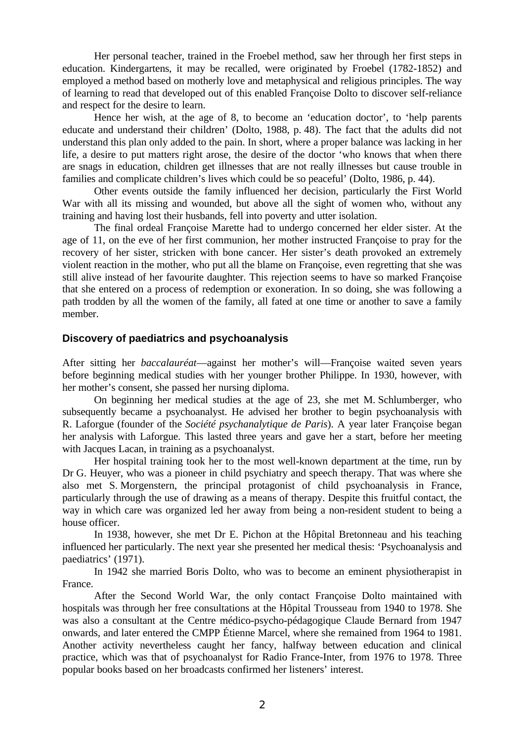Her personal teacher, trained in the Froebel method, saw her through her first steps in education. Kindergartens, it may be recalled, were originated by Froebel (1782-1852) and employed a method based on motherly love and metaphysical and religious principles. The way of learning to read that developed out of this enabled Françoise Dolto to discover self-reliance and respect for the desire to learn.

Hence her wish, at the age of 8, to become an 'education doctor', to 'help parents educate and understand their children' (Dolto, 1988, p. 48). The fact that the adults did not understand this plan only added to the pain. In short, where a proper balance was lacking in her life, a desire to put matters right arose, the desire of the doctor 'who knows that when there are snags in education, children get illnesses that are not really illnesses but cause trouble in families and complicate children's lives which could be so peaceful' (Dolto, 1986, p. 44).

Other events outside the family influenced her decision, particularly the First World War with all its missing and wounded, but above all the sight of women who, without any training and having lost their husbands, fell into poverty and utter isolation.

The final ordeal Françoise Marette had to undergo concerned her elder sister. At the age of 11, on the eve of her first communion, her mother instructed Françoise to pray for the recovery of her sister, stricken with bone cancer. Her sister's death provoked an extremely violent reaction in the mother, who put all the blame on Françoise, even regretting that she was still alive instead of her favourite daughter. This rejection seems to have so marked Françoise that she entered on a process of redemption or exoneration. In so doing, she was following a path trodden by all the women of the family, all fated at one time or another to save a family member.

## **Discovery of paediatrics and psychoanalysis**

After sitting her *baccalauréat*—against her mother's will—Françoise waited seven years before beginning medical studies with her younger brother Philippe. In 1930, however, with her mother's consent, she passed her nursing diploma.

On beginning her medical studies at the age of 23, she met M. Schlumberger, who subsequently became a psychoanalyst. He advised her brother to begin psychoanalysis with R. Laforgue (founder of the *Société psychanalytique de Paris*). A year later Françoise began her analysis with Laforgue. This lasted three years and gave her a start, before her meeting with Jacques Lacan, in training as a psychoanalyst.

Her hospital training took her to the most well-known department at the time, run by Dr G. Heuyer, who was a pioneer in child psychiatry and speech therapy. That was where she also met S. Morgenstern, the principal protagonist of child psychoanalysis in France, particularly through the use of drawing as a means of therapy. Despite this fruitful contact, the way in which care was organized led her away from being a non-resident student to being a house officer.

In 1938, however, she met Dr E. Pichon at the Hôpital Bretonneau and his teaching influenced her particularly. The next year she presented her medical thesis: 'Psychoanalysis and paediatrics' (1971).

In 1942 she married Boris Dolto, who was to become an eminent physiotherapist in France.

After the Second World War, the only contact Françoise Dolto maintained with hospitals was through her free consultations at the Hôpital Trousseau from 1940 to 1978. She was also a consultant at the Centre médico-psycho-pédagogique Claude Bernard from 1947 onwards, and later entered the CMPP Étienne Marcel, where she remained from 1964 to 1981. Another activity nevertheless caught her fancy, halfway between education and clinical practice, which was that of psychoanalyst for Radio France-Inter, from 1976 to 1978. Three popular books based on her broadcasts confirmed her listeners' interest.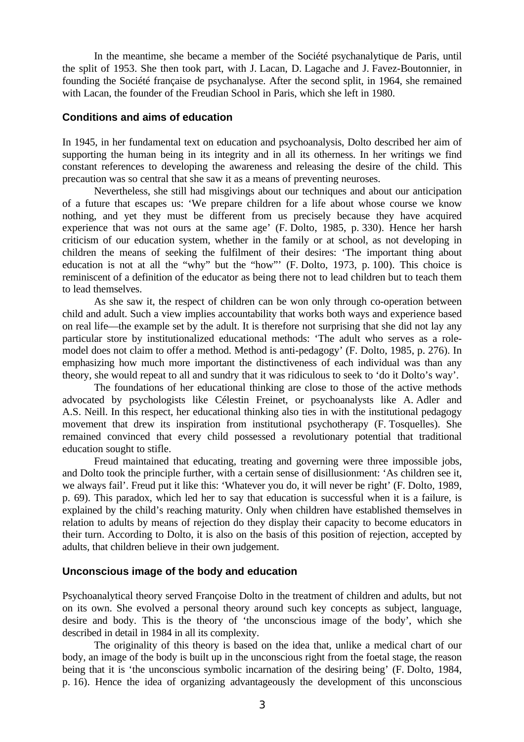In the meantime, she became a member of the Société psychanalytique de Paris, until the split of 1953. She then took part, with J. Lacan, D. Lagache and J. Favez-Boutonnier, in founding the Société française de psychanalyse. After the second split, in 1964, she remained with Lacan, the founder of the Freudian School in Paris, which she left in 1980.

## **Conditions and aims of education**

In 1945, in her fundamental text on education and psychoanalysis, Dolto described her aim of supporting the human being in its integrity and in all its otherness. In her writings we find constant references to developing the awareness and releasing the desire of the child. This precaution was so central that she saw it as a means of preventing neuroses.

Nevertheless, she still had misgivings about our techniques and about our anticipation of a future that escapes us: 'We prepare children for a life about whose course we know nothing, and yet they must be different from us precisely because they have acquired experience that was not ours at the same age' (F. Dolto, 1985, p. 330). Hence her harsh criticism of our education system, whether in the family or at school, as not developing in children the means of seeking the fulfilment of their desires: 'The important thing about education is not at all the "why" but the "how"' (F. Dolto, 1973, p. 100). This choice is reminiscent of a definition of the educator as being there not to lead children but to teach them to lead themselves.

As she saw it, the respect of children can be won only through co-operation between child and adult. Such a view implies accountability that works both ways and experience based on real life—the example set by the adult. It is therefore not surprising that she did not lay any particular store by institutionalized educational methods: 'The adult who serves as a rolemodel does not claim to offer a method. Method is anti-pedagogy' (F. Dolto, 1985, p. 276). In emphasizing how much more important the distinctiveness of each individual was than any theory, she would repeat to all and sundry that it was ridiculous to seek to 'do it Dolto's way'.

The foundations of her educational thinking are close to those of the active methods advocated by psychologists like Célestin Freinet, or psychoanalysts like A. Adler and A.S. Neill. In this respect, her educational thinking also ties in with the institutional pedagogy movement that drew its inspiration from institutional psychotherapy (F. Tosquelles). She remained convinced that every child possessed a revolutionary potential that traditional education sought to stifle.

Freud maintained that educating, treating and governing were three impossible jobs, and Dolto took the principle further, with a certain sense of disillusionment: 'As children see it, we always fail'. Freud put it like this: 'Whatever you do, it will never be right' (F. Dolto, 1989, p. 69). This paradox, which led her to say that education is successful when it is a failure, is explained by the child's reaching maturity. Only when children have established themselves in relation to adults by means of rejection do they display their capacity to become educators in their turn. According to Dolto, it is also on the basis of this position of rejection, accepted by adults, that children believe in their own judgement.

## **Unconscious image of the body and education**

Psychoanalytical theory served Françoise Dolto in the treatment of children and adults, but not on its own. She evolved a personal theory around such key concepts as subject, language, desire and body. This is the theory of 'the unconscious image of the body', which she described in detail in 1984 in all its complexity.

The originality of this theory is based on the idea that, unlike a medical chart of our body, an image of the body is built up in the unconscious right from the foetal stage, the reason being that it is 'the unconscious symbolic incarnation of the desiring being' (F. Dolto, 1984, p. 16). Hence the idea of organizing advantageously the development of this unconscious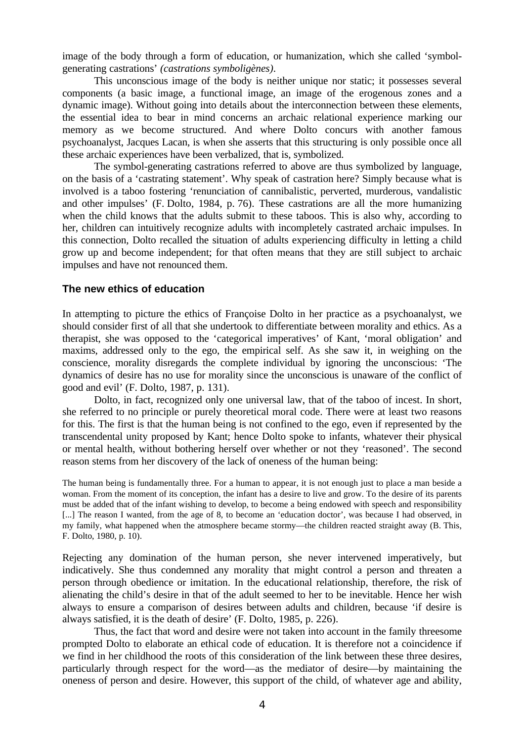image of the body through a form of education, or humanization, which she called 'symbolgenerating castrations' *(castrations symboligènes)*.

This unconscious image of the body is neither unique nor static; it possesses several components (a basic image, a functional image, an image of the erogenous zones and a dynamic image). Without going into details about the interconnection between these elements, the essential idea to bear in mind concerns an archaic relational experience marking our memory as we become structured. And where Dolto concurs with another famous psychoanalyst, Jacques Lacan, is when she asserts that this structuring is only possible once all these archaic experiences have been verbalized, that is, symbolized.

The symbol-generating castrations referred to above are thus symbolized by language, on the basis of a 'castrating statement'. Why speak of castration here? Simply because what is involved is a taboo fostering 'renunciation of cannibalistic, perverted, murderous, vandalistic and other impulses' (F. Dolto, 1984, p. 76). These castrations are all the more humanizing when the child knows that the adults submit to these taboos. This is also why, according to her, children can intuitively recognize adults with incompletely castrated archaic impulses. In this connection, Dolto recalled the situation of adults experiencing difficulty in letting a child grow up and become independent; for that often means that they are still subject to archaic impulses and have not renounced them.

## **The new ethics of education**

In attempting to picture the ethics of Françoise Dolto in her practice as a psychoanalyst, we should consider first of all that she undertook to differentiate between morality and ethics. As a therapist, she was opposed to the 'categorical imperatives' of Kant, 'moral obligation' and maxims, addressed only to the ego, the empirical self. As she saw it, in weighing on the conscience, morality disregards the complete individual by ignoring the unconscious: 'The dynamics of desire has no use for morality since the unconscious is unaware of the conflict of good and evil' (F. Dolto, 1987, p. 131).

Dolto, in fact, recognized only one universal law, that of the taboo of incest. In short, she referred to no principle or purely theoretical moral code. There were at least two reasons for this. The first is that the human being is not confined to the ego, even if represented by the transcendental unity proposed by Kant; hence Dolto spoke to infants, whatever their physical or mental health, without bothering herself over whether or not they 'reasoned'. The second reason stems from her discovery of the lack of oneness of the human being:

The human being is fundamentally three. For a human to appear, it is not enough just to place a man beside a woman. From the moment of its conception, the infant has a desire to live and grow. To the desire of its parents must be added that of the infant wishing to develop, to become a being endowed with speech and responsibility [...] The reason I wanted, from the age of 8, to become an 'education doctor', was because I had observed, in my family, what happened when the atmosphere became stormy—the children reacted straight away (B. This, F. Dolto, 1980, p. 10).

Rejecting any domination of the human person, she never intervened imperatively, but indicatively. She thus condemned any morality that might control a person and threaten a person through obedience or imitation. In the educational relationship, therefore, the risk of alienating the child's desire in that of the adult seemed to her to be inevitable. Hence her wish always to ensure a comparison of desires between adults and children, because 'if desire is always satisfied, it is the death of desire' (F. Dolto, 1985, p. 226).

Thus, the fact that word and desire were not taken into account in the family threesome prompted Dolto to elaborate an ethical code of education. It is therefore not a coincidence if we find in her childhood the roots of this consideration of the link between these three desires, particularly through respect for the word—as the mediator of desire—by maintaining the oneness of person and desire. However, this support of the child, of whatever age and ability,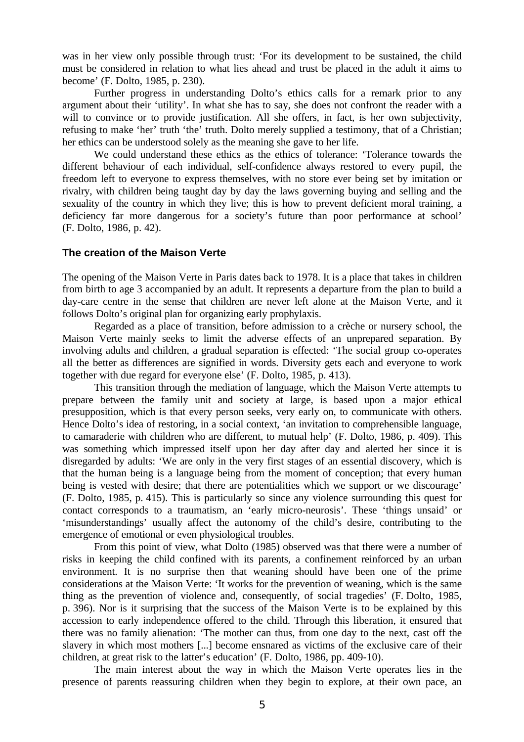was in her view only possible through trust: 'For its development to be sustained, the child must be considered in relation to what lies ahead and trust be placed in the adult it aims to become' (F. Dolto, 1985, p. 230).

Further progress in understanding Dolto's ethics calls for a remark prior to any argument about their 'utility'. In what she has to say, she does not confront the reader with a will to convince or to provide justification. All she offers, in fact, is her own subjectivity, refusing to make 'her' truth 'the' truth. Dolto merely supplied a testimony, that of a Christian; her ethics can be understood solely as the meaning she gave to her life.

We could understand these ethics as the ethics of tolerance: 'Tolerance towards the different behaviour of each individual, self-confidence always restored to every pupil, the freedom left to everyone to express themselves, with no store ever being set by imitation or rivalry, with children being taught day by day the laws governing buying and selling and the sexuality of the country in which they live; this is how to prevent deficient moral training, a deficiency far more dangerous for a society's future than poor performance at school' (F. Dolto, 1986, p. 42).

## **The creation of the Maison Verte**

The opening of the Maison Verte in Paris dates back to 1978. It is a place that takes in children from birth to age 3 accompanied by an adult. It represents a departure from the plan to build a day-care centre in the sense that children are never left alone at the Maison Verte, and it follows Dolto's original plan for organizing early prophylaxis.

Regarded as a place of transition, before admission to a crèche or nursery school, the Maison Verte mainly seeks to limit the adverse effects of an unprepared separation. By involving adults and children, a gradual separation is effected: 'The social group co-operates all the better as differences are signified in words. Diversity gets each and everyone to work together with due regard for everyone else' (F. Dolto, 1985, p. 413).

This transition through the mediation of language, which the Maison Verte attempts to prepare between the family unit and society at large, is based upon a major ethical presupposition, which is that every person seeks, very early on, to communicate with others. Hence Dolto's idea of restoring, in a social context, 'an invitation to comprehensible language, to camaraderie with children who are different, to mutual help' (F. Dolto, 1986, p. 409). This was something which impressed itself upon her day after day and alerted her since it is disregarded by adults: 'We are only in the very first stages of an essential discovery, which is that the human being is a language being from the moment of conception; that every human being is vested with desire; that there are potentialities which we support or we discourage' (F. Dolto, 1985, p. 415). This is particularly so since any violence surrounding this quest for contact corresponds to a traumatism, an 'early micro-neurosis'. These 'things unsaid' or 'misunderstandings' usually affect the autonomy of the child's desire, contributing to the emergence of emotional or even physiological troubles.

From this point of view, what Dolto (1985) observed was that there were a number of risks in keeping the child confined with its parents, a confinement reinforced by an urban environment. It is no surprise then that weaning should have been one of the prime considerations at the Maison Verte: 'It works for the prevention of weaning, which is the same thing as the prevention of violence and, consequently, of social tragedies' (F. Dolto, 1985, p. 396). Nor is it surprising that the success of the Maison Verte is to be explained by this accession to early independence offered to the child. Through this liberation, it ensured that there was no family alienation: 'The mother can thus, from one day to the next, cast off the slavery in which most mothers [...] become ensnared as victims of the exclusive care of their children, at great risk to the latter's education' (F. Dolto, 1986, pp. 409-10).

The main interest about the way in which the Maison Verte operates lies in the presence of parents reassuring children when they begin to explore, at their own pace, an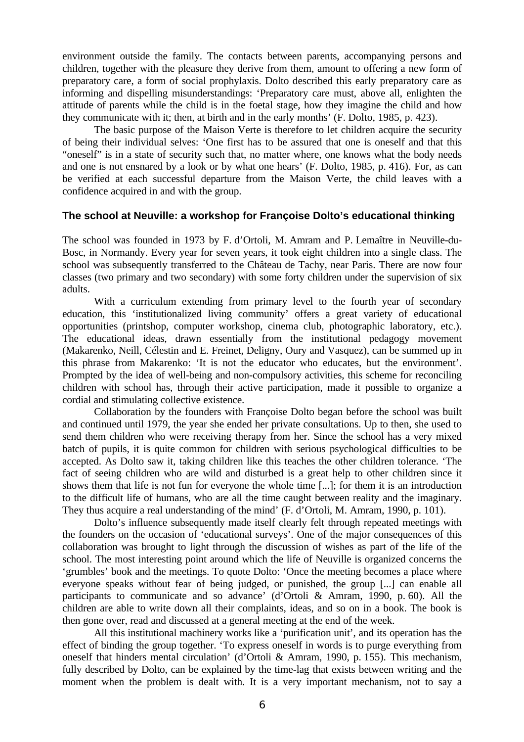environment outside the family. The contacts between parents, accompanying persons and children, together with the pleasure they derive from them, amount to offering a new form of preparatory care, a form of social prophylaxis. Dolto described this early preparatory care as informing and dispelling misunderstandings: 'Preparatory care must, above all, enlighten the attitude of parents while the child is in the foetal stage, how they imagine the child and how they communicate with it; then, at birth and in the early months' (F. Dolto, 1985, p. 423).

The basic purpose of the Maison Verte is therefore to let children acquire the security of being their individual selves: 'One first has to be assured that one is oneself and that this "oneself" is in a state of security such that, no matter where, one knows what the body needs and one is not ensnared by a look or by what one hears' (F. Dolto, 1985, p. 416). For, as can be verified at each successful departure from the Maison Verte, the child leaves with a confidence acquired in and with the group.

## **The school at Neuville: a workshop for Françoise Dolto's educational thinking**

The school was founded in 1973 by F. d'Ortoli, M. Amram and P. Lemaître in Neuville-du-Bosc, in Normandy. Every year for seven years, it took eight children into a single class. The school was subsequently transferred to the Château de Tachy, near Paris. There are now four classes (two primary and two secondary) with some forty children under the supervision of six adults.

With a curriculum extending from primary level to the fourth year of secondary education, this 'institutionalized living community' offers a great variety of educational opportunities (printshop, computer workshop, cinema club, photographic laboratory, etc.). The educational ideas, drawn essentially from the institutional pedagogy movement (Makarenko, Neill, Célestin and E. Freinet, Deligny, Oury and Vasquez), can be summed up in this phrase from Makarenko: 'It is not the educator who educates, but the environment'. Prompted by the idea of well-being and non-compulsory activities, this scheme for reconciling children with school has, through their active participation, made it possible to organize a cordial and stimulating collective existence.

Collaboration by the founders with Françoise Dolto began before the school was built and continued until 1979, the year she ended her private consultations. Up to then, she used to send them children who were receiving therapy from her. Since the school has a very mixed batch of pupils, it is quite common for children with serious psychological difficulties to be accepted. As Dolto saw it, taking children like this teaches the other children tolerance. 'The fact of seeing children who are wild and disturbed is a great help to other children since it shows them that life is not fun for everyone the whole time [...]; for them it is an introduction to the difficult life of humans, who are all the time caught between reality and the imaginary. They thus acquire a real understanding of the mind' (F. d'Ortoli, M. Amram, 1990, p. 101).

Dolto's influence subsequently made itself clearly felt through repeated meetings with the founders on the occasion of 'educational surveys'. One of the major consequences of this collaboration was brought to light through the discussion of wishes as part of the life of the school. The most interesting point around which the life of Neuville is organized concerns the 'grumbles' book and the meetings. To quote Dolto: 'Once the meeting becomes a place where everyone speaks without fear of being judged, or punished, the group [...] can enable all participants to communicate and so advance' (d'Ortoli & Amram, 1990, p. 60). All the children are able to write down all their complaints, ideas, and so on in a book. The book is then gone over, read and discussed at a general meeting at the end of the week.

All this institutional machinery works like a 'purification unit', and its operation has the effect of binding the group together. 'To express oneself in words is to purge everything from oneself that hinders mental circulation' (d'Ortoli & Amram, 1990, p. 155). This mechanism, fully described by Dolto, can be explained by the time-lag that exists between writing and the moment when the problem is dealt with. It is a very important mechanism, not to say a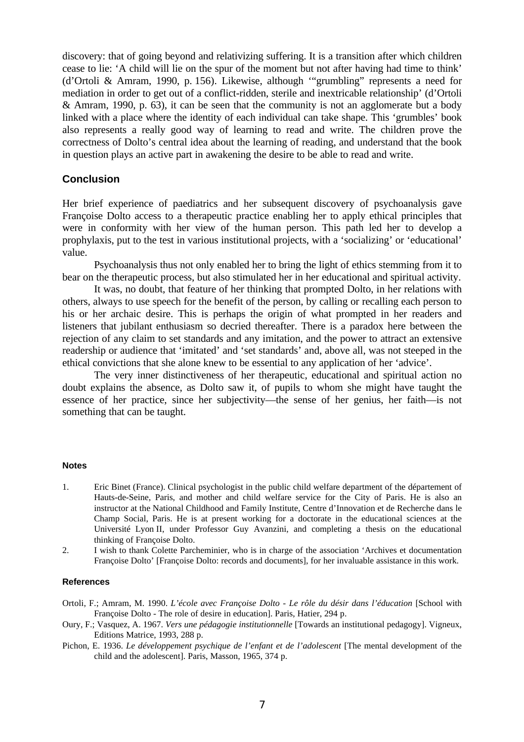discovery: that of going beyond and relativizing suffering. It is a transition after which children cease to lie: 'A child will lie on the spur of the moment but not after having had time to think' (d'Ortoli & Amram, 1990, p. 156). Likewise, although '"grumbling" represents a need for mediation in order to get out of a conflict-ridden, sterile and inextricable relationship' (d'Ortoli & Amram, 1990, p. 63), it can be seen that the community is not an agglomerate but a body linked with a place where the identity of each individual can take shape. This 'grumbles' book also represents a really good way of learning to read and write. The children prove the correctness of Dolto's central idea about the learning of reading, and understand that the book in question plays an active part in awakening the desire to be able to read and write.

## **Conclusion**

Her brief experience of paediatrics and her subsequent discovery of psychoanalysis gave Françoise Dolto access to a therapeutic practice enabling her to apply ethical principles that were in conformity with her view of the human person. This path led her to develop a prophylaxis, put to the test in various institutional projects, with a 'socializing' or 'educational' value.

Psychoanalysis thus not only enabled her to bring the light of ethics stemming from it to bear on the therapeutic process, but also stimulated her in her educational and spiritual activity.

It was, no doubt, that feature of her thinking that prompted Dolto, in her relations with others, always to use speech for the benefit of the person, by calling or recalling each person to his or her archaic desire. This is perhaps the origin of what prompted in her readers and listeners that jubilant enthusiasm so decried thereafter. There is a paradox here between the rejection of any claim to set standards and any imitation, and the power to attract an extensive readership or audience that 'imitated' and 'set standards' and, above all, was not steeped in the ethical convictions that she alone knew to be essential to any application of her 'advice'.

The very inner distinctiveness of her therapeutic, educational and spiritual action no doubt explains the absence, as Dolto saw it, of pupils to whom she might have taught the essence of her practice, since her subjectivity—the sense of her genius, her faith—is not something that can be taught.

## **Notes**

- 1. Eric Binet (France). Clinical psychologist in the public child welfare department of the département of Hauts-de-Seine, Paris, and mother and child welfare service for the City of Paris. He is also an instructor at the National Childhood and Family Institute, Centre d'Innovation et de Recherche dans le Champ Social, Paris. He is at present working for a doctorate in the educational sciences at the Université Lyon II, under Professor Guy Avanzini, and completing a thesis on the educational thinking of Françoise Dolto.
- 2. I wish to thank Colette Parcheminier, who is in charge of the association 'Archives et documentation Françoise Dolto' [Françoise Dolto: records and documents], for her invaluable assistance in this work.

### **References**

- Ortoli, F.; Amram, M. 1990. *L'école avec Françoise Dolto Le rôle du désir dans l'éducation* [School with Françoise Dolto - The role of desire in education]. Paris, Hatier, 294 p.
- Oury, F.; Vasquez, A. 1967. *Vers une pédagogie institutionnelle* [Towards an institutional pedagogy]. Vigneux, Editions Matrice, 1993, 288 p.
- Pichon, E. 1936. *Le développement psychique de l'enfant et de l'adolescent* [The mental development of the child and the adolescent]. Paris, Masson, 1965, 374 p.